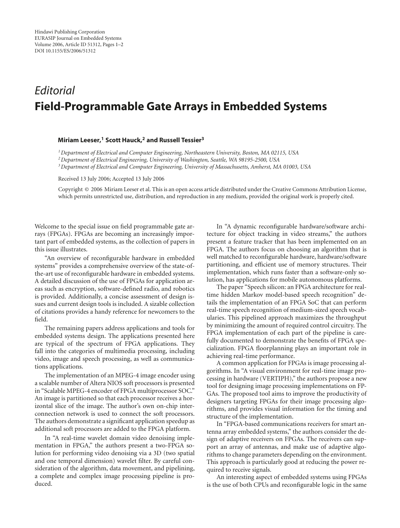## *Editorial* **Field-Programmable Gate Arrays in Embedded Systems**

## **Miriam Leeser,1 Scott Hauck,2 and Russell Tessier3**

*1Department of Electrical and Computer Engineering, Northeastern University, Boston, MA 02115, USA*

*2Department of Electrical Engineering, University of Washington, Seattle, WA 98195-2500, USA*

*3Department of Electrical and Computer Engineering, University of Massachusetts, Amherst, MA 01003, USA*

Received 13 July 2006; Accepted 13 July 2006

Copyright © 2006 Miriam Leeser et al. This is an open access article distributed under the Creative Commons Attribution License, which permits unrestricted use, distribution, and reproduction in any medium, provided the original work is properly cited.

Welcome to the special issue on field programmable gate arrays (FPGAs). FPGAs are becoming an increasingly important part of embedded systems, as the collection of papers in this issue illustrates.

"An overview of reconfigurable hardware in embedded systems" provides a comprehensive overview of the state-ofthe-art use of reconfigurable hardware in embedded systems. A detailed discussion of the use of FPGAs for application areas such as encryption, software-defined radio, and robotics is provided. Additionally, a concise assessment of design issues and current design tools is included. A sizable collection of citations provides a handy reference for newcomers to the field.

The remaining papers address applications and tools for embedded systems design. The applications presented here are typical of the spectrum of FPGA applications. They fall into the categories of multimedia processing, including video, image and speech processing, as well as communications applications.

The implementation of an MPEG-4 image encoder using a scalable number of Altera NIOS soft processors is presented in "Scalable MPEG-4 encoder of FPGA multiprocessor SOC." An image is partitioned so that each processor receives a horizontal slice of the image. The author's own on-chip interconnection network is used to connect the soft processors. The authors demonstrate a significant application speedup as additional soft processors are added to the FPGA platform.

In "A real-time wavelet domain video denoising implementation in FPGA," the authors present a two-FPGA solution for performing video denoising via a 3D (two spatial and one temporal dimension) wavelet filter. By careful consideration of the algorithm, data movement, and pipelining, a complete and complex image processing pipeline is produced.

In "A dynamic reconfigurable hardware/software architecture for object tracking in video streams," the authors present a feature tracker that has been implemented on an FPGA. The authors focus on choosing an algorithm that is well matched to reconfigurable hardware, hardware/software partitioning, and efficient use of memory structures. Their implementation, which runs faster than a software-only solution, has applications for mobile autonomous platforms.

The paper "Speech silicon: an FPGA architecture for realtime hidden Markov model-based speech recognition" details the implementation of an FPGA SoC that can perform real-time speech recognition of medium-sized speech vocabularies. This pipelined approach maximizes the throughput by minimizing the amount of required control circuitry. The FPGA implementation of each part of the pipeline is carefully documented to demonstrate the benefits of FPGA specialization. FPGA floorplanning plays an important role in achieving real-time performance.

A common application for FPGAs is image processing algorithms. In "A visual environment for real-time image processing in hardware (VERTIPH)," the authors propose a new tool for designing image processing implementations on FP-GAs. The proposed tool aims to improve the productivity of designers targeting FPGAs for their image processing algorithms, and provides visual information for the timing and structure of the implementation.

In "FPGA-based communications receivers for smart antenna array embedded systems," the authors consider the design of adaptive receivers on FPGAs. The receivers can support an array of antennas, and make use of adaptive algorithms to change parameters depending on the environment. This approach is particularly good at reducing the power required to receive signals.

An interesting aspect of embedded systems using FPGAs is the use of both CPUs and reconfigurable logic in the same